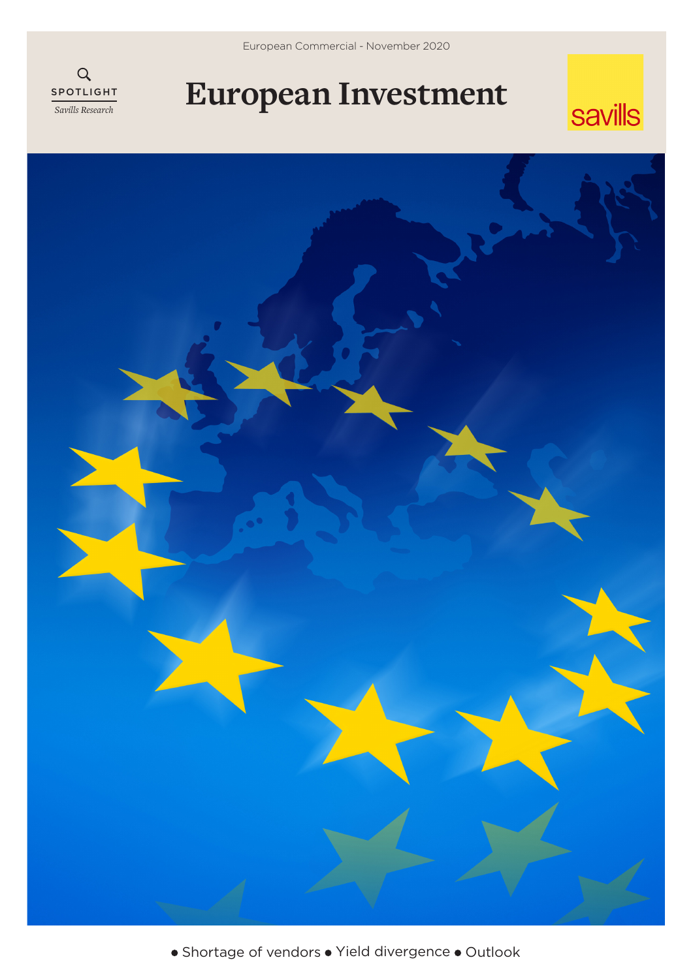European Commercial - November 2020



## **European Investment**





• Shortage of vendors • Yield divergence • Outlook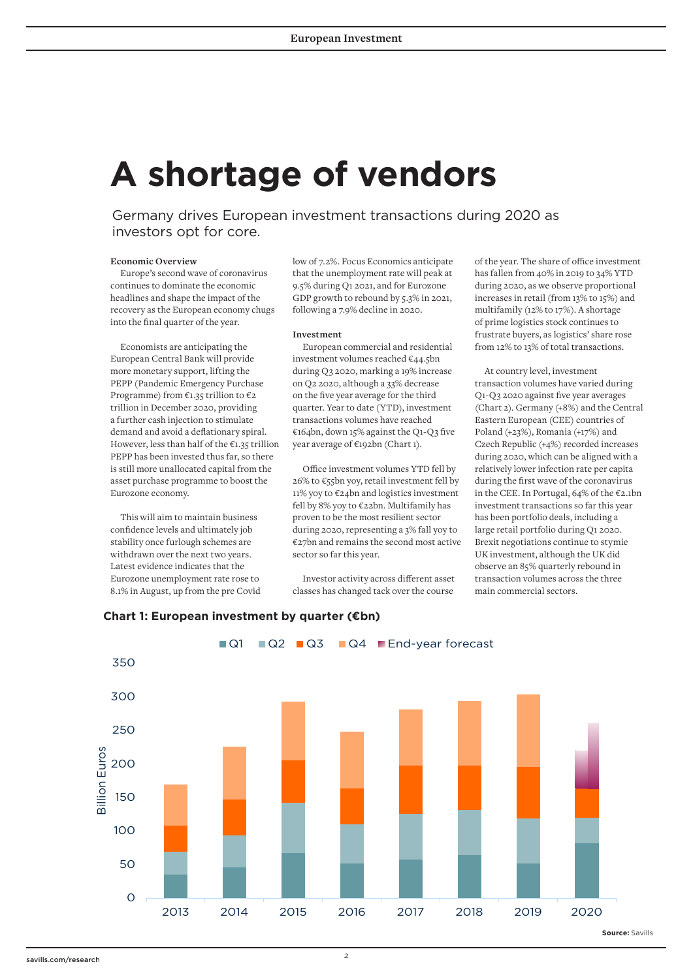# **A shortage of vendors**

Germany drives European investment transactions during 2020 as investors opt for core.

#### **Economic Overview**

Europe's second wave of coronavirus continues to dominate the economic headlines and shape the impact of the recovery as the European economy chugs into the final quarter of the year.

Economists are anticipating the European Central Bank will provide more monetary support, lifting the PEPP (Pandemic Emergency Purchase Programme) from €1.35 trillion to €2 trillion in December 2020, providing a further cash injection to stimulate demand and avoid a deflationary spiral. However, less than half of the €1.35 trillion PEPP has been invested thus far, so there is still more unallocated capital from the asset purchase programme to boost the Eurozone economy.

This will aim to maintain business confidence levels and ultimately job stability once furlough schemes are withdrawn over the next two years. Latest evidence indicates that the Eurozone unemployment rate rose to 8.1% in August, up from the pre Covid

low of 7.2%. Focus Economics anticipate that the unemployment rate will peak at 9.5% during Q1 2021, and for Eurozone GDP growth to rebound by 5.3% in 2021, following a 7.9% decline in 2020.

#### **Investment**

European commercial and residential investment volumes reached €44.5bn during Q3 2020, marking a 19% increase on Q2 2020, although a 33% decrease on the five year average for the third quarter. Year to date (YTD), investment transactions volumes have reached €164bn, down 15% against the Q1-Q3 five year average of €192bn (Chart 1).

Office investment volumes YTD fell by 26% to €55bn yoy, retail investment fell by 11% yoy to €24bn and logistics investment fell by 8% yoy to €22bn. Multifamily has proven to be the most resilient sector during 2020, representing a 3% fall yoy to €27bn and remains the second most active sector so far this year.

Investor activity across different asset classes has changed tack over the course

of the year. The share of office investment has fallen from 40% in 2019 to 34% YTD during 2020, as we observe proportional increases in retail (from 13% to 15%) and multifamily (12% to 17%). A shortage of prime logistics stock continues to frustrate buyers, as logistics' share rose from 12% to 13% of total transactions.

At country level, investment transaction volumes have varied during Q1-Q3 2020 against five year averages (Chart 2). Germany (+8%) and the Central Eastern European (CEE) countries of Poland (+23%), Romania (+17%) and Czech Republic (+4%) recorded increases during 2020, which can be aligned with a relatively lower infection rate per capita during the first wave of the coronavirus in the CEE. In Portugal, 64% of the €2.1bn investment transactions so far this year has been portfolio deals, including a large retail portfolio during Q1 2020. Brexit negotiations continue to stymie UK investment, although the UK did observe an 85% quarterly rebound in transaction volumes across the three main commercial sectors.



### **Chart 1: European investment by quarter (€bn)**

savills.com/research *2*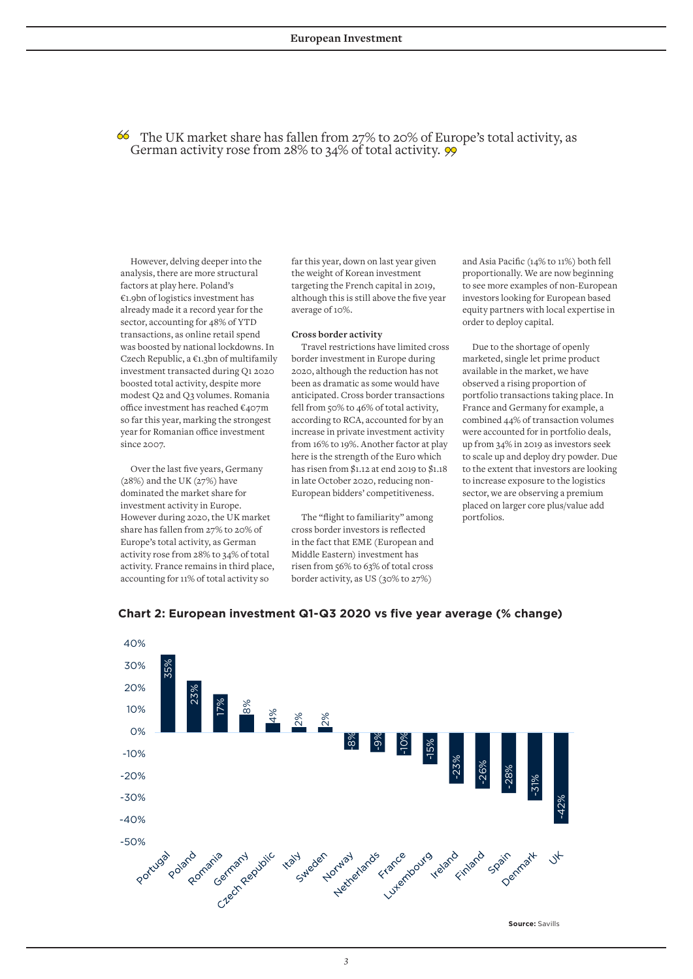$\bullet\$  The UK market share has fallen from 27% to 20% of Europe's total activity, as German activity rose from 28% to 34% of total activity.  $\frac{99}{99}$ 

However, delving deeper into the analysis, there are more structural factors at play here. Poland's €1.9bn of logistics investment has already made it a record year for the sector, accounting for 48% of YTD transactions, as online retail spend was boosted by national lockdowns. In Czech Republic, a €1.3bn of multifamily investment transacted during Q1 2020 boosted total activity, despite more modest Q2 and Q3 volumes. Romania office investment has reached €407m so far this year, marking the strongest year for Romanian office investment since 2007.

Over the last five years, Germany  $(28%)$  and the UK  $(27%)$  have dominated the market share for investment activity in Europe. However during 2020, the UK market share has fallen from 27% to 20% of Europe's total activity, as German activity rose from 28% to 34% of total activity. France remains in third place, accounting for 11% of total activity so

far this year, down on last year given the weight of Korean investment targeting the French capital in 2019, although this is still above the five year average of 10%.

#### **Cross border activity**

Travel restrictions have limited cross border investment in Europe during 2020, although the reduction has not been as dramatic as some would have anticipated. Cross border transactions fell from 50% to 46% of total activity, according to RCA, accounted for by an increase in private investment activity from 16% to 19%. Another factor at play here is the strength of the Euro which has risen from \$1.12 at end 2019 to \$1.18 in late October 2020, reducing non-European bidders' competitiveness.

The "flight to familiarity" among cross border investors is reflected in the fact that EME (European and Middle Eastern) investment has risen from 56% to 63% of total cross border activity, as US (30% to 27%)

and Asia Pacific (14% to 11%) both fell proportionally. We are now beginning to see more examples of non-European investors looking for European based equity partners with local expertise in order to deploy capital.

Due to the shortage of openly marketed, single let prime product available in the market, we have observed a rising proportion of portfolio transactions taking place. In France and Germany for example, a combined 44% of transaction volumes were accounted for in portfolio deals, up from 34% in 2019 as investors seek to scale up and deploy dry powder. Due to the extent that investors are looking to increase exposure to the logistics sector, we are observing a premium placed on larger core plus/value add portfolios.



#### **Chart 2: European investment Q1-Q3 2020 vs five year average (% change)**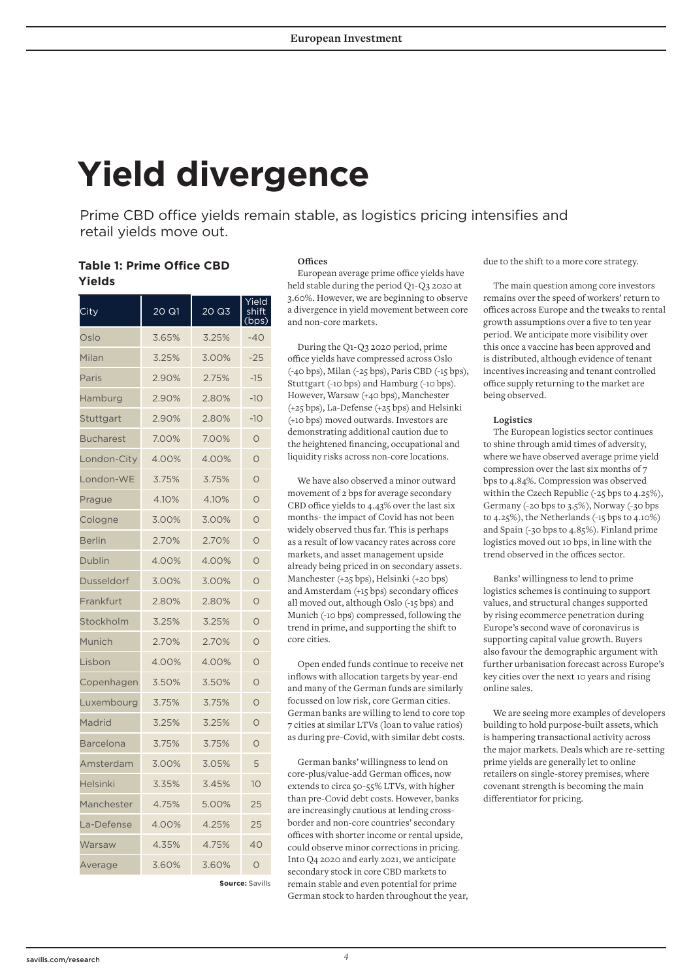# **Yield divergence**

Prime CBD office yields remain stable, as logistics pricing intensifies and retail yields move out.

### **Table 1: Prime Office CBD Yields**

| City             | 20 Q1 | 20 Q3 | Yield<br>shift<br>ops) |
|------------------|-------|-------|------------------------|
| Oslo             | 3.65% | 3.25% | $-40$                  |
| Milan            | 3.25% | 3.00% | $-25$                  |
| Paris            | 2.90% | 2.75% | $-15$                  |
| Hamburg          | 2.90% | 2.80% | $-10$                  |
| Stuttgart        | 2.90% | 2.80% | $-10$                  |
| <b>Bucharest</b> | 7.00% | 7.00% | $\circ$                |
| London-City      | 4.00% | 4.00% | $\circ$                |
| London-WE        | 3.75% | 3.75% | $\circ$                |
| Prague           | 4.10% | 4.10% | $\circ$                |
| Cologne          | 3.00% | 3.00% | $\circ$                |
| <b>Berlin</b>    | 2.70% | 2.70% | $\circ$                |
| Dublin           | 4.00% | 4.00% | $\circ$                |
| Dusseldorf       | 3.00% | 3.00% | $\Omega$               |
| Frankfurt        | 2.80% | 2.80% | $\circ$                |
| Stockholm        | 3.25% | 3.25% | $\circ$                |
| Munich           | 2.70% | 2.70% | $\circ$                |
| Lisbon           | 4.00% | 4.00% | $\circ$                |
| Copenhagen       | 3.50% | 3.50% | $\circ$                |
| Luxembourg       | 3.75% | 3.75% | $\circ$                |
| Madrid           | 3.25% | 3.25% | $\Omega$               |
| <b>Barcelona</b> | 3.75% | 3.75% | $\overline{O}$         |
| Amsterdam        | 3.00% | 3.05% | 5                      |
| <b>Helsinki</b>  | 3.35% | 3.45% | 10                     |
| Manchester       | 4.75% | 5.00% | 25                     |
| La-Defense       | 4.00% | 4.25% | 25                     |
| Warsaw           | 4.35% | 4.75% | 40                     |
| Average          | 3.60% | 3.60% | $\circ$                |

**Offices** 

European average prime office yields have held stable during the period Q1-Q3 2020 at 3.60%. However, we are beginning to observe a divergence in yield movement between core and non-core markets.

During the Q1-Q3 2020 period, prime office yields have compressed across Oslo (-40 bps), Milan (-25 bps), Paris CBD (-15 bps), Stuttgart (-10 bps) and Hamburg (-10 bps). However, Warsaw (+40 bps), Manchester (+25 bps), La-Defense (+25 bps) and Helsinki (+10 bps) moved outwards. Investors are demonstrating additional caution due to the heightened financing, occupational and liquidity risks across non-core locations.

We have also observed a minor outward movement of 2 bps for average secondary CBD office yields to 4.43% over the last six months- the impact of Covid has not been widely observed thus far. This is perhaps as a result of low vacancy rates across core markets, and asset management upside already being priced in on secondary assets. Manchester (+25 bps), Helsinki (+20 bps) and Amsterdam (+15 bps) secondary offices all moved out, although Oslo (-15 bps) and Munich (-10 bps) compressed, following the trend in prime, and supporting the shift to core cities.

Open ended funds continue to receive net inflows with allocation targets by year-end and many of the German funds are similarly focussed on low risk, core German cities. German banks are willing to lend to core top 7 cities at similar LTVs (loan to value ratios) as during pre-Covid, with similar debt costs.

German banks' willingness to lend on core-plus/value-add German offices, now extends to circa 50-55% LTVs, with higher than pre-Covid debt costs. However, banks are increasingly cautious at lending crossborder and non-core countries' secondary offices with shorter income or rental upside, could observe minor corrections in pricing. Into Q4 2020 and early 2021, we anticipate secondary stock in core CBD markets to remain stable and even potential for prime German stock to harden throughout the year, due to the shift to a more core strategy.

The main question among core investors remains over the speed of workers' return to offices across Europe and the tweaks to rental growth assumptions over a five to ten year period. We anticipate more visibility over this once a vaccine has been approved and is distributed, although evidence of tenant incentives increasing and tenant controlled office supply returning to the market are being observed.

#### **Logistics**

The European logistics sector continues to shine through amid times of adversity, where we have observed average prime yield compression over the last six months of 7 bps to 4.84%. Compression was observed within the Czech Republic (-25 bps to 4.25%), Germany (-20 bps to 3.5%), Norway (-30 bps to 4.25%), the Netherlands (-15 bps to 4.10%) and Spain (-30 bps to 4.85%). Finland prime logistics moved out 10 bps, in line with the trend observed in the offices sector.

Banks' willingness to lend to prime logistics schemes is continuing to support values, and structural changes supported by rising ecommerce penetration during Europe's second wave of coronavirus is supporting capital value growth. Buyers also favour the demographic argument with further urbanisation forecast across Europe's key cities over the next 10 years and rising online sales.

We are seeing more examples of developers building to hold purpose-built assets, which is hampering transactional activity across the major markets. Deals which are re-setting prime yields are generally let to online retailers on single-storey premises, where covenant strength is becoming the main differentiator for pricing.

**Source:** Savills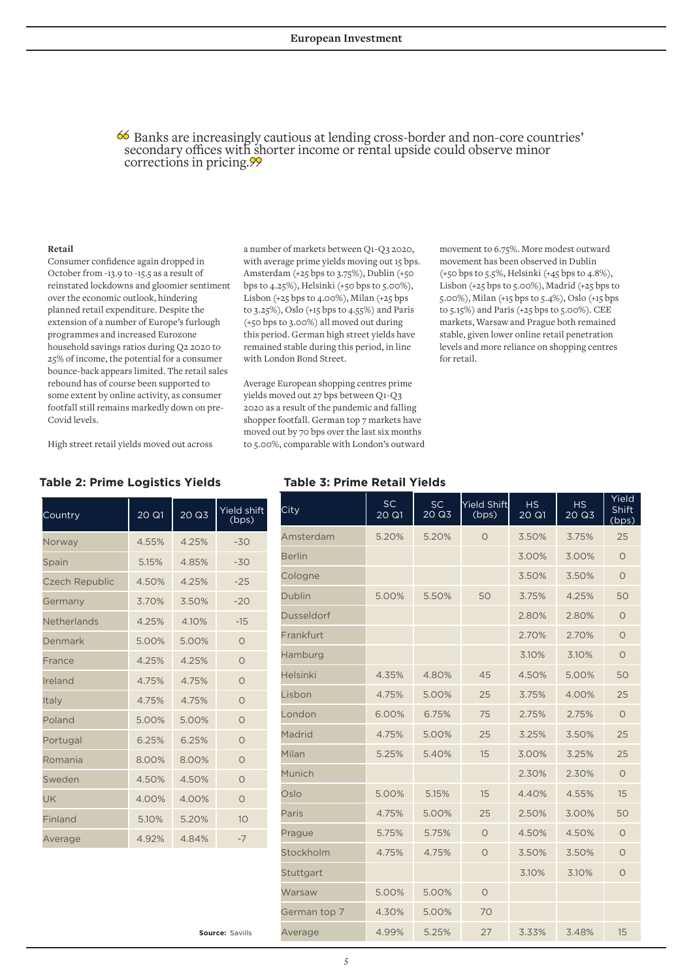<sup>66</sup> Banks are increasingly cautious at lending cross-border and non-core countries' secondary offices with shorter income or rental upside could observe minor corrections in pricing. 99

#### **Retail**

Consumer confidence again dropped in October from -13.9 to -15.5 as a result of reinstated lockdowns and gloomier sentiment over the economic outlook, hindering planned retail expenditure. Despite the extension of a number of Europe's furlough programmes and increased Eurozone household savings ratios during Q2 2020 to 25% of income, the potential for a consumer bounce-back appears limited. The retail sales rebound has of course been supported to some extent by online activity, as consumer footfall still remains markedly down on pre-Covid levels.

High street retail yields moved out across

#### **Table 2: Prime Logistics Yields Table 3: Prime Retail Yields**

| Country               | 20 Q1 | 20 Q3 | <b>Yield shift</b><br>(bps) |
|-----------------------|-------|-------|-----------------------------|
| Norway                | 4.55% | 4.25% | $-30$                       |
| Spain                 | 5.15% | 4.85% | $-30$                       |
| <b>Czech Republic</b> | 4.50% | 4.25% | $-25$                       |
| Germany               | 3.70% | 3.50% | $-20$                       |
| Netherlands           | 4.25% | 4.10% | $-15$                       |
| Denmark               | 5.00% | 5.00% | $\Omega$                    |
| France                | 4.25% | 4.25% | $\Omega$                    |
| Ireland               | 4.75% | 4.75% | $\bigcirc$                  |
| Italy                 | 4.75% | 4.75% | $\Omega$                    |
| Poland                | 5.00% | 5.00% | $\Omega$                    |
| Portugal              | 6.25% | 6.25% | $\Omega$                    |
| Romania               | 8.00% | 8.00% | $\Omega$                    |
| Sweden                | 4.50% | 4.50% | $\Omega$                    |
| UK                    | 4.00% | 4.00% | $\Omega$                    |
| Finland               | 5.10% | 5.20% | 10                          |
| Average               | 4.92% | 4.84% | $-7$                        |

**Source:** Savills

a number of markets between Q1-Q3 2020, with average prime yields moving out 15 bps. Amsterdam (+25 bps to 3.75%), Dublin (+50 bps to 4.25%), Helsinki (+50 bps to 5.00%), Lisbon  $(+25$  bps to  $4.00\%$ ), Milan  $(+25$  bps to 3.25%), Oslo (+15 bps to 4.55%) and Paris (+50 bps to 3.00%) all moved out during this period. German high street yields have remained stable during this period, in line with London Bond Street.

Average European shopping centres prime yields moved out 27 bps between Q1-Q3 2020 as a result of the pandemic and falling shopper footfall. German top 7 markets have moved out by 70 bps over the last six months to 5.00%, comparable with London's outward movement to 6.75%. More modest outward movement has been observed in Dublin (+50 bps to 5.5%, Helsinki (+45 bps to 4.8%), Lisbon (+25 bps to 5.00%), Madrid (+25 bps to 5.00%), Milan (+15 bps to 5.4%), Oslo (+15 bps to 5.15%) and Paris (+25 bps to 5.00%). CEE markets, Warsaw and Prague both remained stable, given lower online retail penetration levels and more reliance on shopping centres for retail.

| City              | <b>SC</b><br>20 Q1 | SC<br>20 Q3 | Yield Shift<br>(bps) | <b>HS</b><br>20 Q1 | <b>HS</b><br>20 Q3 | Yield<br>Shift<br>(bps) |
|-------------------|--------------------|-------------|----------------------|--------------------|--------------------|-------------------------|
| Amsterdam         | 5.20%              | 5.20%       | $\circ$              | 3.50%              | 3.75%              | 25                      |
| <b>Berlin</b>     |                    |             |                      | 3.00%              | 3.00%              | $\circ$                 |
| Cologne           |                    |             |                      | 3.50%              | 3.50%              | $\circ$                 |
| <b>Dublin</b>     | 5.00%              | 5.50%       | 50                   | 3.75%              | 4.25%              | 50                      |
| <b>Dusseldorf</b> |                    |             |                      | 2.80%              | 2.80%              | $\circ$                 |
| Frankfurt         |                    |             |                      | 2.70%              | 2.70%              | $\circ$                 |
| Hamburg           |                    |             |                      | 3.10%              | 3.10%              | $\circ$                 |
| <b>Helsinki</b>   | 4.35%              | 4.80%       | 45                   | 4.50%              | 5.00%              | 50                      |
| Lisbon            | 4.75%              | 5.00%       | 25                   | 3.75%              | 4.00%              | 25                      |
| London            | 6.00%              | 6.75%       | 75                   | 2.75%              | 2.75%              | $\circ$                 |
| Madrid            | 4.75%              | 5.00%       | 25                   | 3.25%              | 3.50%              | 25                      |
| Milan             | 5.25%              | 5.40%       | 15                   | 3.00%              | 3.25%              | 25                      |
| Munich            |                    |             |                      | 2.30%              | 2.30%              | $\circ$                 |
| Oslo              | 5.00%              | 5.15%       | 15                   | 4.40%              | 4.55%              | 15                      |
| Paris             | 4.75%              | 5.00%       | 25                   | 2.50%              | 3.00%              | 50                      |
| Prague            | 5.75%              | 5.75%       | $\circ$              | 4.50%              | 4.50%              | $\circ$                 |
| Stockholm         | 4.75%              | 4.75%       | $\circ$              | 3.50%              | 3.50%              | $\circ$                 |
| Stuttgart         |                    |             |                      | 3.10%              | 3.10%              | $\circ$                 |
| Warsaw            | 5.00%              | 5.00%       | $\circ$              |                    |                    |                         |
| German top 7      | 4.30%              | 5.00%       | 70                   |                    |                    |                         |
| Average           | 4.99%              | 5.25%       | 27                   | 3.33%              | 3.48%              | 15                      |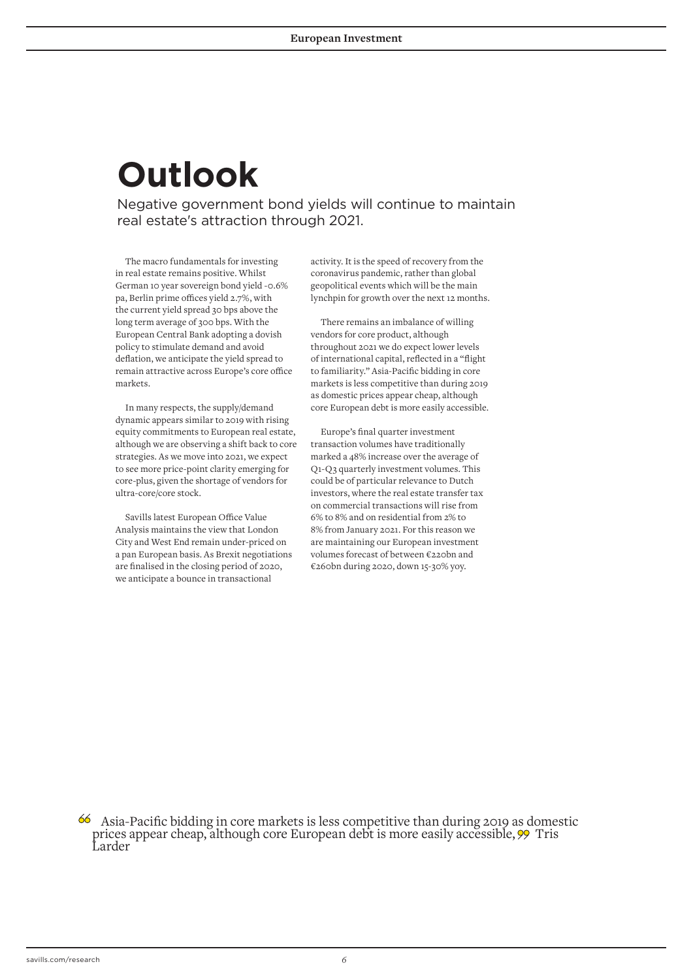# **Outlook**

Negative government bond yields will continue to maintain real estate's attraction through 2021.

The macro fundamentals for investing in real estate remains positive. Whilst German 10 year sovereign bond yield -0.6% pa, Berlin prime offices yield 2.7%, with the current yield spread 30 bps above the long term average of 300 bps. With the European Central Bank adopting a dovish policy to stimulate demand and avoid deflation, we anticipate the yield spread to remain attractive across Europe's core office markets.

In many respects, the supply/demand dynamic appears similar to 2019 with rising equity commitments to European real estate, although we are observing a shift back to core strategies. As we move into 2021, we expect to see more price-point clarity emerging for core-plus, given the shortage of vendors for ultra-core/core stock.

Savills latest European Office Value Analysis maintains the view that London City and West End remain under-priced on a pan European basis. As Brexit negotiations are finalised in the closing period of 2020, we anticipate a bounce in transactional

activity. It is the speed of recovery from the coronavirus pandemic, rather than global geopolitical events which will be the main lynchpin for growth over the next 12 months.

There remains an imbalance of willing vendors for core product, although throughout 2021 we do expect lower levels of international capital, reflected in a "flight to familiarity." Asia-Pacific bidding in core markets is less competitive than during 2019 as domestic prices appear cheap, although core European debt is more easily accessible.

Europe's final quarter investment transaction volumes have traditionally marked a 48% increase over the average of Q1-Q3 quarterly investment volumes. This could be of particular relevance to Dutch investors, where the real estate transfer tax on commercial transactions will rise from 6% to 8% and on residential from 2% to 8% from January 2021. For this reason we are maintaining our European investment volumes forecast of between €220bn and €260bn during 2020, down 15-30% yoy.

Asia-Pacific bidding in core markets is less competitive than during 2019 as domestic prices appear cheap, although core European debt is more easily accessible,  $\gg$  Tris Larder